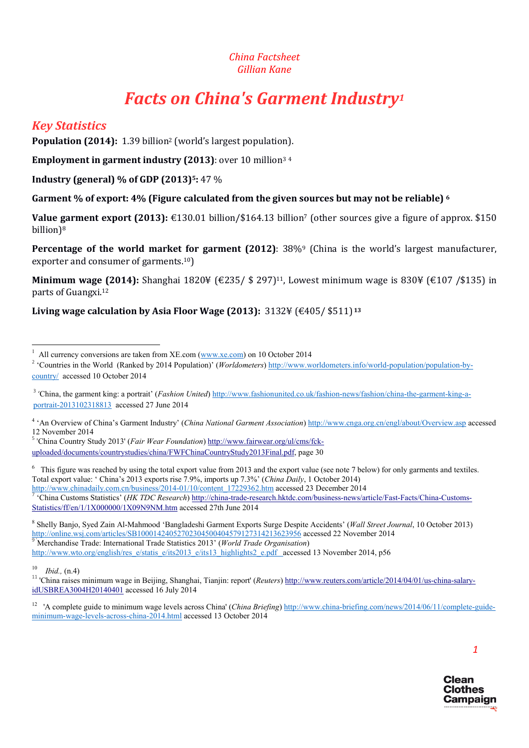#### *China Factsheet Gillian Kane*

# *Facts on China's Garment Industry1*

# *Key Statistics*

Population (2014): 1.39 billion<sup>2</sup> (world's largest population).

Employment in garment industry (2013): over 10 million<sup>34</sup>

Industry (general) % of GDP (2013)<sup>5</sup>: 47 %

Garment % of export: 4% (Figure calculated from the given sources but may not be reliable) <sup>6</sup>

Value garment export (2013): €130.01 billion/\$164.13 billion<sup>7</sup> (other sources give a figure of approx. \$150 billion)8

Percentage of the world market for garment (2012): 38%<sup>9</sup> (China is the world's largest manufacturer, exporter and consumer of garments.10)

**Minimum wage (2014):** Shanghai 1820¥ (€235/ \$ 297)<sup>11</sup>, Lowest minimum wage is 830¥ (€107 /\$135) in parts of Guangxi.12

#### Living wage calculation by Asia Floor Wage (2013):  $3132\frac{1}{5}$  (£405/\$511)<sup>13</sup>

<sup>3</sup> 'China, the garment king: a portrait' (*Fashion United*) http://www.fashionunited.co.uk/fashion-news/fashion/china-the-garment-king-aportrait-2013102318813 accessed 27 June 2014

<sup>4</sup> 'An Overview of China's Garment Industry' (*China National Garment Association*) http://www.cnga.org.cn/engl/about/Overview.asp accessed 12 November 2014

<sup>5</sup> 'China Country Study 2013' (*Fair Wear Foundation*) http://www.fairwear.org/ul/cms/fckuploaded/documents/countrystudies/china/FWFChinaCountryStudy2013Final.pdf, page 30

6 This figure was reached by using the total export value from 2013 and the export value (see note 7 below) for only garments and textiles. Total export value: ' China's 2013 exports rise 7.9%, imports up 7.3%' (*China Daily*, 1 October 2014) 'China Customs Statistics' (HK TDC Research) http://china-trade-research.hktdc.com/business-news/article/Fast-Facts/China-Customs-Statistics/ff/en/1/1X000000/1X09N9NM.htm accessed 27th June 2014

<sup>8</sup> Shelly Banjo, Syed Zain Al-Mahmood 'Bangladeshi Garment Exports Surge Despite Accidents' (*Wall Street Journal*, 10 October 2013) http://online.wsj.com/articles/SB10001424052702304500404579127314213623956 accessed 22 November 2014 Merchandise Trade: International Trade Statistics 2013' (*World Trade Organisation*) http://www.wto.org/english/res\_e/statis\_e/its2013\_e/its13\_highlights2\_e.pdf accessed 13 November 2014, p56

<sup>10</sup> *Ibid.*, (n.4)<br><sup>11</sup> 'China raises minimum wage in Beijing, Shanghai, Tianjin: report' (*Reuters*) http://www.reuters.com/article/2014/04/01/us-china-salaryidUSBREA3004H20140401 accessed 16 July 2014

<sup>12</sup> 'A complete guide to minimum wage levels across China' (*China Briefing*) http://www.china-briefing.com/news/2014/06/11/complete-guideminimum-wage-levels-across-china-2014.html accessed 13 October 2014



 $\frac{1}{1}$ <sup>1</sup> All currency conversions are taken from XE.com ( $\frac{www.xe.com}{www.xe.com}$ ) on 10 October 2014

<sup>&</sup>lt;sup>2</sup> 'Countries in the World (Ranked by 2014 Population)' (*Worldometers*) http://www.worldometers.info/world-population/population-bycountry/ accessed 10 October 2014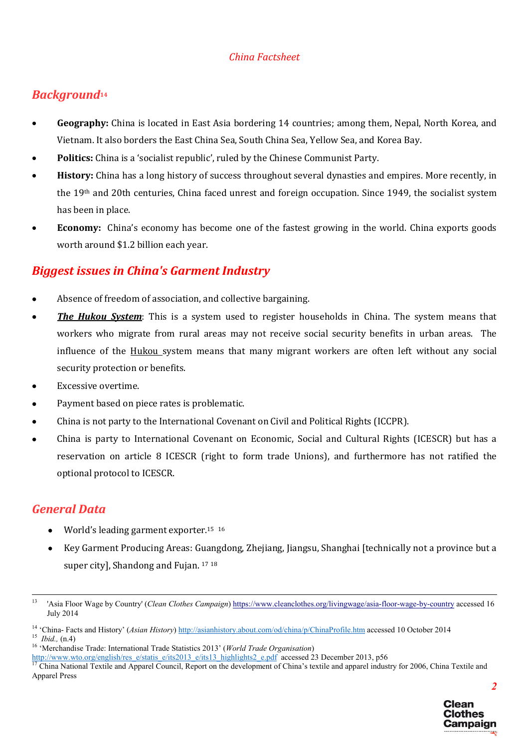# *Background*<sup>14</sup>

- Geography: China is located in East Asia bordering 14 countries; among them, Nepal, North Korea, and Vietnam. It also borders the East China Sea, South China Sea, Yellow Sea, and Korea Bay.
- Politics: China is a 'socialist republic', ruled by the Chinese Communist Party.
- History: China has a long history of success throughout several dynasties and empires. More recently, in the 19th and 20th centuries, China faced unrest and foreign occupation. Since 1949, the socialist system has been in place.
- Economy: China's economy has become one of the fastest growing in the world. China exports goods worth around \$1.2 billion each year.

# *Biggest issues in China's Garment Industry*

- Absence of freedom of association, and collective bargaining.
- *The Hukou System*: This is a system used to register households in China. The system means that workers who migrate from rural areas may not receive social security benefits in urban areas. The influence of the Hukou system means that many migrant workers are often left without any social security protection or benefits.
- Excessive overtime.
- Payment based on piece rates is problematic.
- China is not party to the International Covenant on Civil and Political Rights (ICCPR).
- China is party to International Covenant on Economic, Social and Cultural Rights (ICESCR) but has a reservation on article 8 ICESCR (right to form trade Unions), and furthermore has not ratified the optional protocol to ICESCR.

# *General Data*

- World's leading garment exporter.<sup>15</sup> <sup>16</sup>
- Key Garment Producing Areas: Guangdong, Zhejiang, Jiangsu, Shanghai [technically not a province but a super city], Shandong and Fujan. 17 <sup>18</sup>

 <sup>13</sup> 'Asia Floor Wage by Country' (*Clean Clothes Campaign*) https://www.cleanclothes.org/livingwage/asia-floor-wage-by-country accessed 16 July 2014

<sup>&</sup>lt;sup>14</sup> 'China-Facts and History' (Asian History) http://asianhistory.about.com/od/china/p/ChinaProfile.htm accessed 10 October 2014<br><sup>15</sup> *Ibid.*, (n.4)<br><sup>16</sup> 'Merchandise Trade: International Trade Statistics 2013' (World Tr

China National Textile and Apparel Council, Report on the development of China's textile and apparel industry for 2006, China Textile and Apparel Press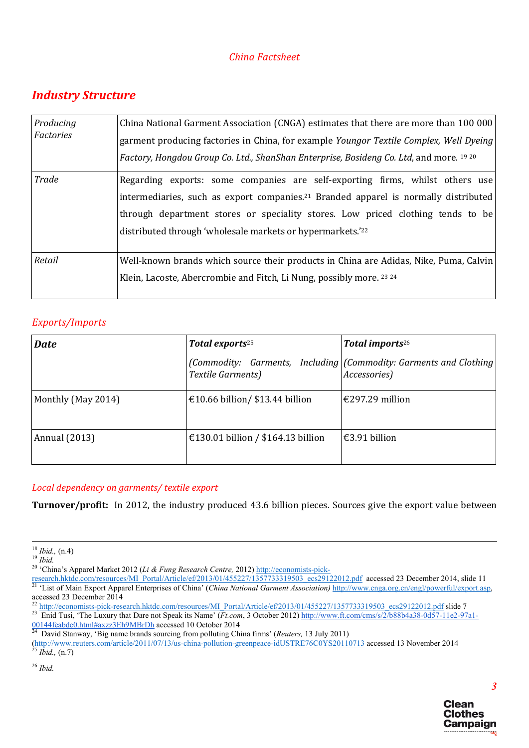# *Industry Structure*

| Producing<br>Factories | China National Garment Association (CNGA) estimates that there are more than 100 000<br>garment producing factories in China, for example Youngor Textile Complex, Well Dyeing<br>Factory, Hongdou Group Co. Ltd., ShanShan Enterprise, Bosideng Co. Ltd, and more. 19 20                                                         |  |  |  |
|------------------------|-----------------------------------------------------------------------------------------------------------------------------------------------------------------------------------------------------------------------------------------------------------------------------------------------------------------------------------|--|--|--|
| Trade                  | Regarding exports: some companies are self-exporting firms, whilst others use<br>intermediaries, such as export companies. <sup>21</sup> Branded apparel is normally distributed<br>through department stores or speciality stores. Low priced clothing tends to be<br>distributed through 'wholesale markets or hypermarkets.'22 |  |  |  |
| Retail                 | Well-known brands which source their products in China are Adidas, Nike, Puma, Calvin<br>Klein, Lacoste, Abercrombie and Fitch, Li Nung, possibly more. 23 24                                                                                                                                                                     |  |  |  |

### *Exports/Imports*

| <b>Date</b>        | Total exports <sup>25</sup>        | Total imports <sup>26</sup>                                                        |
|--------------------|------------------------------------|------------------------------------------------------------------------------------|
|                    | Textile Garments)                  | (Commodity: Garments, Including (Commodity: Garments and Clothing)<br>Accessories) |
| Monthly (May 2014) | €10.66 billion/ \$13.44 billion    | $€297.29$ million                                                                  |
| Annual (2013)      | €130.01 billion / \$164.13 billion | $€3.91$ billion                                                                    |

#### *Local dependency on garments/ textile export*

Turnover/profit: In 2012, the industry produced 43.6 billion pieces. Sources give the export value between

David Stanway, 'Big name brands sourcing from polluting China firms' (*Reuters*, 13 July 2011)

(http://www.reuters.com/article/2011/07/13/us-china-pollution-greenpeace-idUSTRE76C0YS20110713 accessed 13 November 2014

<sup>26</sup> *Ibid.*



<sup>18</sup> *Ibid.,* (n.4) 19 *Ibid.* <sup>20</sup> 'China's Apparel Market 2012 (*Li & Fung Research Centre,* 2012) http://economists-pick-

research.hktdc.com/resources/MI\_Portal/Article/ef/2013/01/455227/1357733319503\_ecs29122012.pdf accessed 23 December 2014, slide 11<br><sup>21</sup> 'List of Main Export Apparel Enterprises of China' (China National Garment Association

accessed 23 December 2014<br>
<sup>22</sup> http://economists-pick-research.hktdc.com/resources/MI\_Portal/Article/ef/2013/01/455227/1357733319503\_ecs29122012.pdf slide 7

<sup>&</sup>lt;sup>23</sup> Enid Tusi, 'The Luxury that Dare not Speak its Name' ( $\overline{F}t.com$ , 3 October 2012) http://www.ft.com/cms/s/2/b88b4a38-0d57-11e2-97a1-<br>00144feabdc0.html#axzz3Eh9MBrDh accessed 10 October 2014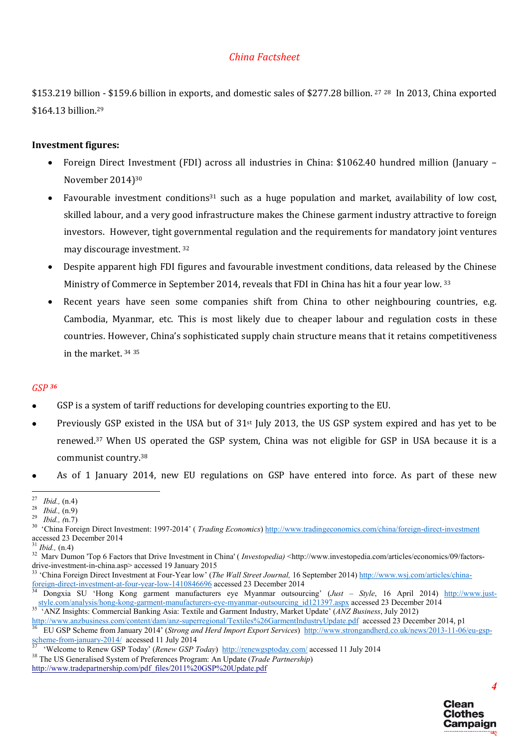\$153.219 billion - \$159.6 billion in exports, and domestic sales of \$277.28 billion. 27 <sup>28</sup> In 2013, China exported \$164.13 billion.<sup>29</sup>

#### Investment figures:

- Foreign Direct Investment (FDI) across all industries in China: \$1062.40 hundred million (January November 2014)30
- Favourable investment conditions<sup>31</sup> such as a huge population and market, availability of low cost, skilled labour, and a very good infrastructure makes the Chinese garment industry attractive to foreign investors. However, tight governmental regulation and the requirements for mandatory joint ventures may discourage investment. 32
- Despite apparent high FDI figures and favourable investment conditions, data released by the Chinese Ministry of Commerce in September 2014, reveals that FDI in China has hit a four year low. 33
- Recent years have seen some companies shift from China to other neighbouring countries, e.g. Cambodia, Myanmar, etc. This is most likely due to cheaper labour and regulation costs in these countries. However, China's sophisticated supply chain structure means that it retains competitiveness in the market. 34 <sup>35</sup>

#### *GSP <sup>36</sup>*

- GSP is a system of tariff reductions for developing countries exporting to the EU.
- Previously GSP existed in the USA but of 31st July 2013, the US GSP system expired and has yet to be renewed.37 When US operated the GSP system, China was not eligible for GSP in USA because it is a communist country.38
- As of 1 January 2014, new EU regulations on GSP have entered into force. As part of these new

drive-investment-in-china.asp> accessed 19 January 2015<br>
<sup>33</sup> 'China Foreign Direct Investment at Four-Year low' (*The Wall Street Journal*, 16 September 2014) http://www.wsj.com/articles/china-<br>
<u>53</u> 'China Foreign-direct



<sup>&</sup>lt;sup>27</sup> *Ibid.,* (n.4)<br><sup>28</sup> *Ibid.,* (n.9)<br><sup>29</sup> *Ibid.,* (n.7)<br><sup>30</sup> 'China Foreign Direct Investment: 1997-2014' (*Trading Economics*) http://www.tradingeconomics.com/china/foreign-direct-investment accessed 23 December 2014<br> $31$  *Ibid.*,  $(n.4)$ 

<sup>&</sup>lt;sup>32</sup> Marv Dumon 'Top 6 Factors that Drive Investment in China' (*Investopedia)* <http://www.investopedia.com/articles/economics/09/factors-

Dongxia SU 'Hong Kong garment manufacturers eye Myanmar outsourcing' (*Just – Style*, 16 April 2014) http://www.juststyle.com/analysis/hong-kong-garment-manufacturers-eye-myanmar-outsourcing\_id121397.aspx accessed 23 December 2014<br>35 'ANZ Insights: Commercial Banking Asia: Textile and Garment Industry, Market Update' (*ANZ Business*, Ju

<sup>&</sup>lt;sup>36</sup> EU GSP Scheme from January 2014' (Strong and Herd Import Export Services)  $\frac{http://www.strongandherd.co.uk/news/2013-11-06/eu-gsp-  
scheme-from-january-2014/$  accessed 11 July 2014

<sup>&</sup>lt;sup>37</sup> 'Welcome to Renew GSP Today' (*Renew GSP Today*)  $\frac{http://renewgsptoday.com/$  accessed 11 July 2014  
<sup>38</sup> The US Generalised System of Preferences Program: An Update (*Trade Partnership*)

http://www.tradepartnership.com/pdf\_files/2011%20GSP%20Update.pdf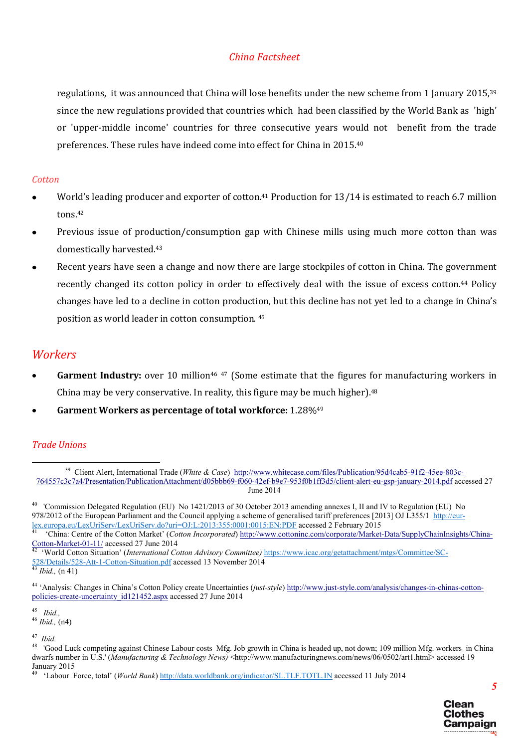regulations, it was announced that China will lose benefits under the new scheme from 1 January 2015, 39 since the new regulations provided that countries which had been classified by the World Bank as 'high' or 'upper-middle income' countries for three consecutive years would not benefit from the trade preferences. These rules have indeed come into effect for China in 2015.40

#### *Cotton*

- World's leading producer and exporter of cotton.<sup>41</sup> Production for 13/14 is estimated to reach 6.7 million tons.42
- Previous issue of production/consumption gap with Chinese mills using much more cotton than was domestically harvested.43
- Recent years have seen a change and now there are large stockpiles of cotton in China. The government recently changed its cotton policy in order to effectively deal with the issue of excess cotton.44 Policy changes have led to a decline in cotton production, but this decline has not yet led to a change in China's position as world leader in cotton consumption. 45

## *Workers*

- Garment Industry: over 10 million<sup>46 47</sup> (Some estimate that the figures for manufacturing workers in China may be very conservative. In reality, this figure may be much higher).48
- Garment Workers as percentage of total workforce: 1.28%49

#### *Trade Unions*

<sup>49 &#</sup>x27;Labour Force, total' (*World Bank*) http://data.worldbank.org/indicator/SL.TLF.TOTL.IN accessed 11 July 2014



<sup>&</sup>lt;sup>39</sup> Client Alert, International Trade (*White & Case*) http://www.whitecase.com/files/Publication/95d4cab5-91f2-45ee-803c-764557c3c7a4/Presentation/PublicationAttachment/d05bbb69-f060-42ef-b9e7-953f0b1ff3d5/client-alert-eu-gsp-january-2014.pdf accessed 27 June 2014

<sup>&</sup>lt;sup>40</sup> 'Commission Delegated Regulation (EU) No 1421/2013 of 30 October 2013 amending annexes I, II and IV to Regulation (EU) No 978/2012 of the European Parliament and the Council applying a scheme of generalised tariff preferences [2013] OJ L355/1 http://eurlex.europa.eu/LexUriServ/LexUriServ.do?uri=OJ:L:2013:355:0001:0015:EN:PDF accessed 2 February 2015<br><sup>41</sup> 'China: Centre of the Cotton Market' (*Cotton Incorporated*) http://www.cottoninc.com/corporate/Market-Data/SupplyChai

Cotton-Market-01-11/ accessed 27 June 2014 42 'World Cotton Situation' (*International Cotton Advisory Committee)* https://www.icac.org/getattachment/mtgs/Committee/SC-

<sup>528/</sup>Details/528-Att-1-Cotton-Situation.pdf accessed 13 November 2014 43 *Ibid.,* (n 41)

<sup>44</sup> 'Analysis: Changes in China's Cotton Policy create Uncertainties (*just-style*) http://www.just-style.com/analysis/changes-in-chinas-cottonpolicies-create-uncertainty\_id121452.aspx accessed 27 June 2014

<sup>45</sup>*Ibid.,* <sup>46</sup> *Ibid.,* (n4)

<sup>&</sup>lt;sup>47</sup> Ibid.<br><sup>48</sup> 'Good Luck competing against Chinese Labour costs Mfg. Job growth in China is headed up, not down; 109 million Mfg. workers in China dwarfs number in U.S.' (*Manufacturing & Technology News*) <http://www.manufacturingnews.com/news/06/0502/art1.html> accessed 19 January 2015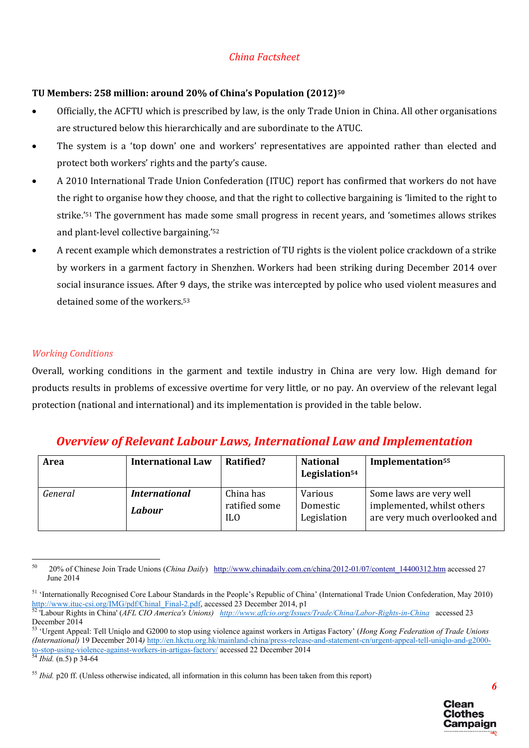#### TU Members: 258 million: around 20% of China's Population (2012)50

- Officially, the ACFTU which is prescribed by law, is the only Trade Union in China. All other organisations are structured below this hierarchically and are subordinate to the ATUC.
- The system is a 'top down' one and workers' representatives are appointed rather than elected and protect both workers' rights and the party's cause.
- A 2010 International Trade Union Confederation (ITUC) report has confirmed that workers do not have the right to organise how they choose, and that the right to collective bargaining is 'limited to the right to strike.'51 The government has made some small progress in recent years, and 'sometimes allows strikes and plant-level collective bargaining.'52
- A recent example which demonstrates a restriction of TU rights is the violent police crackdown of a strike by workers in a garment factory in Shenzhen. Workers had been striking during December 2014 over social insurance issues. After 9 days, the strike was intercepted by police who used violent measures and detained some of the workers.53

### *Working Conditions*

Overall, working conditions in the garment and textile industry in China are very low. High demand for products results in problems of excessive overtime for very little, or no pay. An overview of the relevant legal protection (national and international) and its implementation is provided in the table below.

# *Overview of Relevant Labour Laws, International Law and Implementation*

| Area    | <b>International Law</b> | Ratified?                   | <b>National</b><br>Legislation <sup>54</sup> | Implementation <sup>55</sup>                               |
|---------|--------------------------|-----------------------------|----------------------------------------------|------------------------------------------------------------|
| General | <b>International</b>     | China has                   | Various                                      | Some laws are very well                                    |
|         | Labour                   | ratified some<br><b>ILO</b> | Domestic<br>Legislation                      | implemented, whilst others<br>are very much overlooked and |

 <sup>50</sup> 20% of Chinese Join Trade Unions (*China Daily*) http://www.chinadaily.com.cn/china/2012-01/07/content\_14400312.htm accessed 27 June 2014



<sup>51</sup> 'Internationally Recognised Core Labour Standards in the People's Republic of China' (International Trade Union Confederation, May 2010) http://www.ituc-csi.org/IMG/pdf/Chinal\_Final-2.pdf, accessed 23 December 2014, p1<br><sup>52</sup> Labour Rights in China' (AFL CIO America's Unions) http://www.aflcio.org/Issues/Trade/China/Labor-Rights-in-China accessed 23

December 2014

<sup>53</sup> 'Urgent Appeal: Tell Uniqlo and G2000 to stop using violence against workers in Artigas Factory' (*Hong Kong Federation of Trade Unions (International)* 19 December 2014*)* http://en.hkctu.org.hk/mainland-china/press-release-and-statement-cn/urgent-appeal-tell-uniqlo-and-g2000 to-stop-using-violence-against-workers-in-artigas-factory/ accessed 22 December 2014 <sup>54</sup> *Ibid.* (n.5) p 34-64

<sup>&</sup>lt;sup>55</sup> *Ibid.* p20 ff. (Unless otherwise indicated, all information in this column has been taken from this report)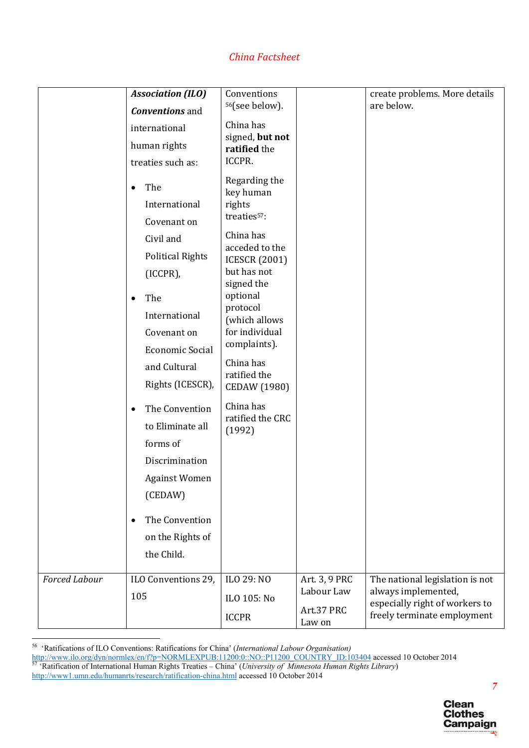|                      | <b>Association (ILO)</b><br><b>Conventions</b> and<br>international<br>human rights<br>treaties such as:<br>The<br>$\bullet$<br>International<br>Covenant on<br>Civil and<br><b>Political Rights</b><br>(ICCPR),<br>The<br>$\bullet$<br>International | Conventions<br><sup>56</sup> (see below).<br>China has<br>signed, but not<br>ratified the<br>ICCPR.<br>Regarding the<br>key human<br>rights<br>treaties <sup>57</sup> :<br>China has<br>acceded to the<br><b>ICESCR (2001)</b><br>but has not<br>signed the<br>optional<br>protocol<br>(which allows |                                                     | create problems. More details<br>are below.                                                                             |
|----------------------|-------------------------------------------------------------------------------------------------------------------------------------------------------------------------------------------------------------------------------------------------------|------------------------------------------------------------------------------------------------------------------------------------------------------------------------------------------------------------------------------------------------------------------------------------------------------|-----------------------------------------------------|-------------------------------------------------------------------------------------------------------------------------|
|                      | Rights (ICESCR),<br>The Convention<br>$\bullet$<br>to Eliminate all<br>forms of<br>Discrimination<br><b>Against Women</b><br>(CEDAW)<br>The Convention<br>$\bullet$<br>on the Rights of<br>the Child.                                                 | ratified the<br><b>CEDAW (1980)</b><br>China has<br>ratified the CRC<br>(1992)                                                                                                                                                                                                                       |                                                     |                                                                                                                         |
| <b>Forced Labour</b> | ILO Conventions 29,<br>105                                                                                                                                                                                                                            | ILO 29: NO<br>ILO 105: No<br><b>ICCPR</b>                                                                                                                                                                                                                                                            | Art. 3, 9 PRC<br>Labour Law<br>Art.37 PRC<br>Law on | The national legislation is not<br>always implemented,<br>especially right of workers to<br>freely terminate employment |

56 'Ratifications of ILO Conventions: Ratifications for China' (*International Labour Organisation)*

http://www.ilo.org/dyn/normlex/en/f?p=NORMLEXPUB:11200:0::NO::P11200\_COUNTRY\_ID:103404 accessed 10 October 2014<br><sup>57</sup> 'Ratification of International Human Rights Treaties – China' (*University of Minnesota Human Rights Libr* 

http://www1.umn.edu/humanrts/research/ratification-china.html accessed 10 October 2014

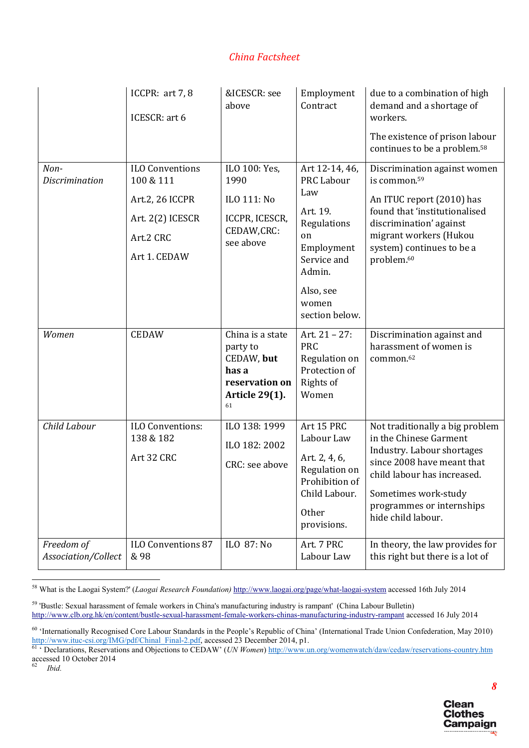|                                   | ICCPR: art 7, 8<br>ICESCR: art 6                                                                        | &ICESCR: see<br>above                                                                                | Employment<br>Contract                                                                                                                   | due to a combination of high<br>demand and a shortage of<br>workers.                                                                                                                                                               |
|-----------------------------------|---------------------------------------------------------------------------------------------------------|------------------------------------------------------------------------------------------------------|------------------------------------------------------------------------------------------------------------------------------------------|------------------------------------------------------------------------------------------------------------------------------------------------------------------------------------------------------------------------------------|
|                                   |                                                                                                         |                                                                                                      |                                                                                                                                          | The existence of prison labour<br>continues to be a problem. <sup>58</sup>                                                                                                                                                         |
| Non-<br><b>Discrimination</b>     | <b>ILO Conventions</b><br>100 & 111<br>Art.2, 26 ICCPR<br>Art. 2(2) ICESCR<br>Art.2 CRC<br>Art 1. CEDAW | ILO 100: Yes,<br>1990<br>ILO 111: No<br>ICCPR, ICESCR,<br>CEDAW,CRC:<br>see above                    | Art 12-14, 46,<br><b>PRC Labour</b><br>Law<br>Art. 19.<br>Regulations<br>on<br>Employment<br>Service and<br>Admin.<br>Also, see<br>women | Discrimination against women<br>is common. <sup>59</sup><br>An ITUC report (2010) has<br>found that 'institutionalised<br>discrimination' against<br>migrant workers (Hukou<br>system) continues to be a<br>problem. <sup>60</sup> |
|                                   |                                                                                                         |                                                                                                      | section below.                                                                                                                           |                                                                                                                                                                                                                                    |
| Women                             | <b>CEDAW</b>                                                                                            | China is a state<br>party to<br>CEDAW, but<br>has a<br>reservation on<br><b>Article 29(1).</b><br>61 | Art. 21 - 27:<br><b>PRC</b><br>Regulation on<br>Protection of<br>Rights of<br>Women                                                      | Discrimination against and<br>harassment of women is<br>common. <sup>62</sup>                                                                                                                                                      |
| Child Labour                      | ILO Conventions:<br>138 & 182<br>Art 32 CRC                                                             | ILO 138: 1999<br>ILO 182: 2002<br>CRC: see above                                                     | Art 15 PRC<br>Labour Law<br>Art. 2, 4, 6,<br>Regulation on<br>Prohibition of<br>Child Labour.<br><b>Other</b><br>provisions.             | Not traditionally a big problem<br>in the Chinese Garment<br>Industry. Labour shortages<br>since 2008 have meant that<br>child labour has increased.<br>Sometimes work-study<br>programmes or internships<br>hide child labour.    |
| Freedom of<br>Association/Collect | ILO Conventions 87<br>& 98                                                                              | ILO 87: No                                                                                           | Art. 7 PRC<br>Labour Law                                                                                                                 | In theory, the law provides for<br>this right but there is a lot of                                                                                                                                                                |

 <sup>58</sup> What is the Laogai System?' (*Laogai Research Foundation)* http://www.laogai.org/page/what-laogai-system accessed 16th July 2014

<sup>62</sup> *Ibid.*



<sup>59</sup> 'Bustle: Sexual harassment of female workers in China's manufacturing industry is rampant' (China Labour Bulletin) http://www.clb.org.hk/en/content/bustle-sexual-harassment-female-workers-chinas-manufacturing-industry-rampant accessed 16 July 2014

<sup>60</sup> 'Internationally Recognised Core Labour Standards in the People's Republic of China' (International Trade Union Confederation, May 2010) http://www.ituc-csi.org/IMG/pdf/Chinal\_Final-2.pdf, accessed 23 December 2014, p1. 61 ' Declarations, Reservations and Objections to CEDAW' (*UN Women*) http://www.un.org/womenwatch/daw/cedaw/reservations-country.htm

accessed 10 October 2014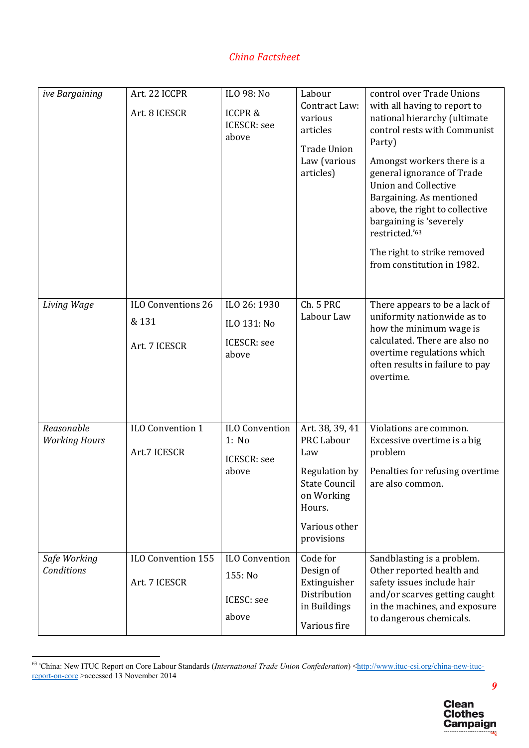| ive Bargaining                     | Art. 22 ICCPR<br>Art. 8 ICESCR               | ILO 98: No<br><b>ICCPR&amp;</b><br><b>ICESCR</b> : see<br>above | Labour<br>Contract Law:<br>various<br>articles<br><b>Trade Union</b><br>Law (various<br>articles)                                           | control over Trade Unions<br>with all having to report to<br>national hierarchy (ultimate<br>control rests with Communist<br>Party)<br>Amongst workers there is a<br>general ignorance of Trade<br><b>Union and Collective</b><br>Bargaining. As mentioned<br>above, the right to collective<br>bargaining is 'severely<br>restricted.'63<br>The right to strike removed<br>from constitution in 1982. |
|------------------------------------|----------------------------------------------|-----------------------------------------------------------------|---------------------------------------------------------------------------------------------------------------------------------------------|--------------------------------------------------------------------------------------------------------------------------------------------------------------------------------------------------------------------------------------------------------------------------------------------------------------------------------------------------------------------------------------------------------|
| Living Wage                        | ILO Conventions 26<br>& 131<br>Art. 7 ICESCR | ILO 26: 1930<br>ILO 131: No<br><b>ICESCR:</b> see<br>above      | Ch. 5 PRC<br>Labour Law                                                                                                                     | There appears to be a lack of<br>uniformity nationwide as to<br>how the minimum wage is<br>calculated. There are also no<br>overtime regulations which<br>often results in failure to pay<br>overtime.                                                                                                                                                                                                 |
| Reasonable<br><b>Working Hours</b> | ILO Convention 1<br>Art.7 ICESCR             | ILO Convention<br>1: No<br><b>ICESCR:</b> see<br>above          | Art. 38, 39, 41<br><b>PRC Labour</b><br>Law<br>Regulation by<br><b>State Council</b><br>on Working<br>Hours.<br>Various other<br>provisions | Violations are common.<br>Excessive overtime is a big<br>problem<br>Penalties for refusing overtime<br>are also common.                                                                                                                                                                                                                                                                                |
| Safe Working<br>Conditions         | ILO Convention 155<br>Art. 7 ICESCR          | <b>ILO Convention</b><br>155: No<br>ICESC: see<br>above         | Code for<br>Design of<br>Extinguisher<br>Distribution<br>in Buildings<br>Various fire                                                       | Sandblasting is a problem.<br>Other reported health and<br>safety issues include hair<br>and/or scarves getting caught<br>in the machines, and exposure<br>to dangerous chemicals.                                                                                                                                                                                                                     |

water of the Union Core Labour Standards (*International Trade Union Confederation*) <http://www.ituc-csi.org/china-new-ituc-<br><sup>63</sup> 'China: New ITUC Report on Core Labour Standards (*International Trade Union Confederation* report-on-core >accessed 13 November 2014

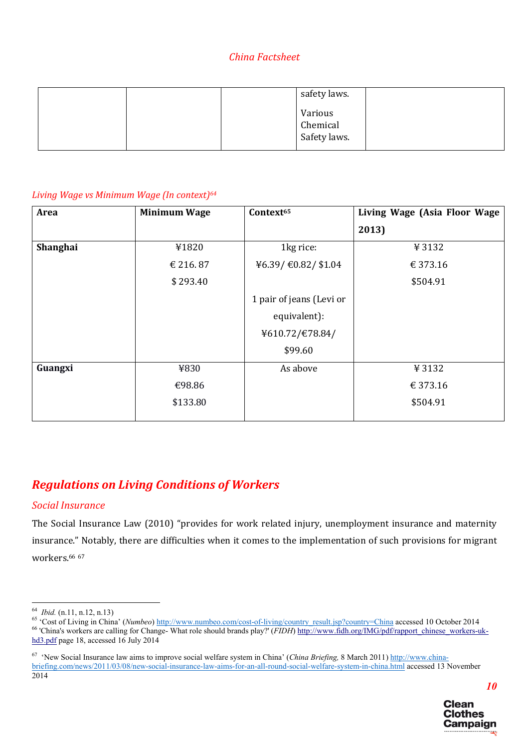| safety laws.             |
|--------------------------|
| Various                  |
|                          |
| Chemical<br>Safety laws. |

#### *Living Wage vs Minimum Wage (In context)64*

| <b>Area</b> | <b>Minimum Wage</b> | Context <sup>65</sup>    | Living Wage (Asia Floor Wage |
|-------------|---------------------|--------------------------|------------------------------|
|             |                     |                          | 2013)                        |
| Shanghai    | ¥1820               | 1kg rice:                | ¥3132                        |
|             | € 216.87            | ¥6.39/€0.82/\$1.04       | € 373.16                     |
|             | \$293.40            |                          | \$504.91                     |
|             |                     | 1 pair of jeans (Levi or |                              |
|             |                     | equivalent):             |                              |
|             |                     | ¥610.72/€78.84/          |                              |
|             |                     | \$99.60                  |                              |
| Guangxi     | ¥830                | As above                 | ¥3132                        |
|             | €98.86              |                          | € 373.16                     |
|             | \$133.80            |                          | \$504.91                     |
|             |                     |                          |                              |

# *Regulations on Living Conditions of Workers*

#### *Social Insurance*

The Social Insurance Law (2010) "provides for work related injury, unemployment insurance and maternity insurance." Notably, there are difficulties when it comes to the implementation of such provisions for migrant workers.<sup>66 67</sup>

<sup>&</sup>lt;sup>64</sup> *Ibid.* (n.11, n.12, n.13)<br><sup>65</sup> 'Cost of Living in China' (*Numbeo*) http://www.numbeo.com/cost-of-living/country\_result.jsp?country=China accessed 10 October 2014<br><sup>65</sup> 'China's workers are calling for Change-What ro hd3.pdf page 18, accessed 16 July 2014

<sup>&</sup>lt;sup>67</sup> 'New Social Insurance law aims to improve social welfare system in China' (*China Briefing*, 8 March 2011) http://www.chinabriefing.com/news/2011/03/08/new-social-insurance-law-aims-for-an-all-round-social-welfare-system-in-china.html accessed 13 November 2014